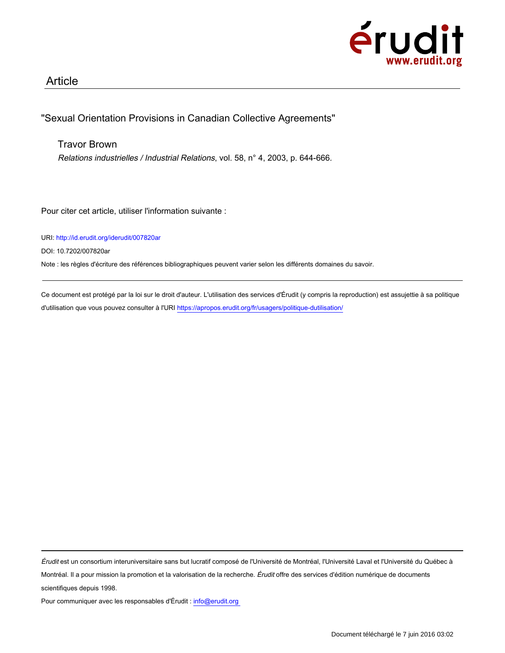

# Article

# "Sexual Orientation Provisions in Canadian Collective Agreements"

Travor Brown

Relations industrielles / Industrial Relations, vol. 58, n° 4, 2003, p. 644-666.

Pour citer cet article, utiliser l'information suivante :

URI: http://id.erudit.org/iderudit/007820ar

DOI: 10.7202/007820ar

Note : les règles d'écriture des références bibliographiques peuvent varier selon les différents domaines du savoir.

Ce document est protégé par la loi sur le droit d'auteur. L'utilisation des services d'Érudit (y compris la reproduction) est assujettie à sa politique d'utilisation que vous pouvez consulter à l'URI https://apropos.erudit.org/fr/usagers/politique-dutilisation/

Érudit est un consortium interuniversitaire sans but lucratif composé de l'Université de Montréal, l'Université Laval et l'Université du Québec à Montréal. Il a pour mission la promotion et la valorisation de la recherche. Érudit offre des services d'édition numérique de documents scientifiques depuis 1998.

Pour communiquer avec les responsables d'Érudit : info@erudit.org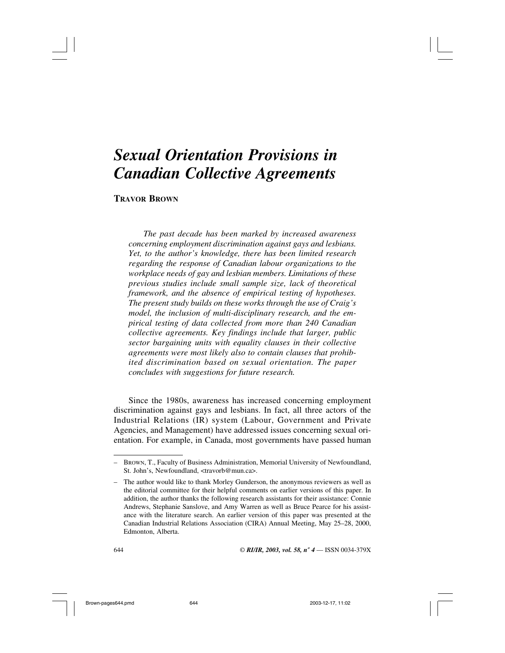# *Sexual Orientation Provisions in Canadian Collective Agreements*

## **TRAVOR BROWN**

*The past decade has been marked by increased awareness concerning employment discrimination against gays and lesbians. Yet, to the author's knowledge, there has been limited research regarding the response of Canadian labour organizations to the workplace needs of gay and lesbian members. Limitations of these previous studies include small sample size, lack of theoretical framework, and the absence of empirical testing of hypotheses. The present study builds on these works through the use of Craig's model, the inclusion of multi-disciplinary research, and the empirical testing of data collected from more than 240 Canadian collective agreements. Key findings include that larger, public sector bargaining units with equality clauses in their collective agreements were most likely also to contain clauses that prohibited discrimination based on sexual orientation. The paper concludes with suggestions for future research.*

Since the 1980s, awareness has increased concerning employment discrimination against gays and lesbians. In fact, all three actors of the Industrial Relations (IR) system (Labour, Government and Private Agencies, and Management) have addressed issues concerning sexual orientation. For example, in Canada, most governments have passed human

<sup>–</sup> BROWN, T., Faculty of Business Administration, Memorial University of Newfoundland, St. John's, Newfoundland, <travorb@mun.ca>.

<sup>–</sup> The author would like to thank Morley Gunderson, the anonymous reviewers as well as the editorial committee for their helpful comments on earlier versions of this paper. In addition, the author thanks the following research assistants for their assistance: Connie Andrews, Stephanie Sanslove, and Amy Warren as well as Bruce Pearce for his assistance with the literature search. An earlier version of this paper was presented at the Canadian Industrial Relations Association (CIRA) Annual Meeting, May 25–28, 2000, Edmonton, Alberta.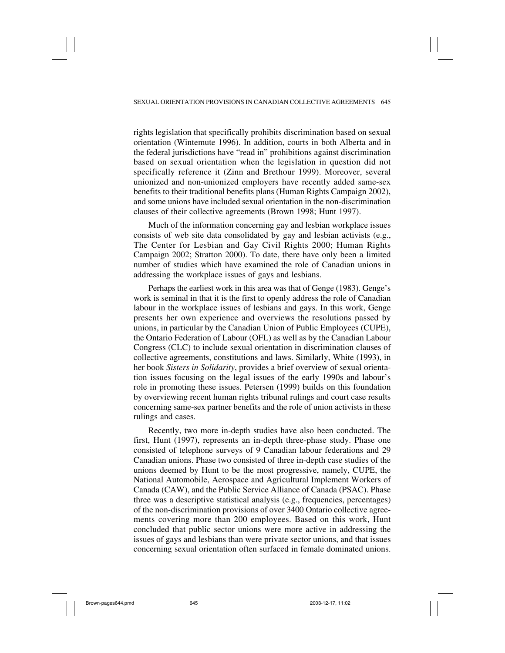rights legislation that specifically prohibits discrimination based on sexual orientation (Wintemute 1996). In addition, courts in both Alberta and in the federal jurisdictions have "read in" prohibitions against discrimination based on sexual orientation when the legislation in question did not specifically reference it (Zinn and Brethour 1999). Moreover, several unionized and non-unionized employers have recently added same-sex benefits to their traditional benefits plans (Human Rights Campaign 2002), and some unions have included sexual orientation in the non-discrimination clauses of their collective agreements (Brown 1998; Hunt 1997).

Much of the information concerning gay and lesbian workplace issues consists of web site data consolidated by gay and lesbian activists (e.g., The Center for Lesbian and Gay Civil Rights 2000; Human Rights Campaign 2002; Stratton 2000). To date, there have only been a limited number of studies which have examined the role of Canadian unions in addressing the workplace issues of gays and lesbians.

Perhaps the earliest work in this area was that of Genge (1983). Genge's work is seminal in that it is the first to openly address the role of Canadian labour in the workplace issues of lesbians and gays. In this work, Genge presents her own experience and overviews the resolutions passed by unions, in particular by the Canadian Union of Public Employees (CUPE), the Ontario Federation of Labour (OFL) as well as by the Canadian Labour Congress (CLC) to include sexual orientation in discrimination clauses of collective agreements, constitutions and laws. Similarly, White (1993), in her book *Sisters in Solidarity*, provides a brief overview of sexual orientation issues focusing on the legal issues of the early 1990s and labour's role in promoting these issues. Petersen (1999) builds on this foundation by overviewing recent human rights tribunal rulings and court case results concerning same-sex partner benefits and the role of union activists in these rulings and cases.

Recently, two more in-depth studies have also been conducted. The first, Hunt (1997), represents an in-depth three-phase study. Phase one consisted of telephone surveys of 9 Canadian labour federations and 29 Canadian unions. Phase two consisted of three in-depth case studies of the unions deemed by Hunt to be the most progressive, namely, CUPE, the National Automobile, Aerospace and Agricultural Implement Workers of Canada (CAW), and the Public Service Alliance of Canada (PSAC). Phase three was a descriptive statistical analysis (e.g., frequencies, percentages) of the non-discrimination provisions of over 3400 Ontario collective agreements covering more than 200 employees. Based on this work, Hunt concluded that public sector unions were more active in addressing the issues of gays and lesbians than were private sector unions, and that issues concerning sexual orientation often surfaced in female dominated unions.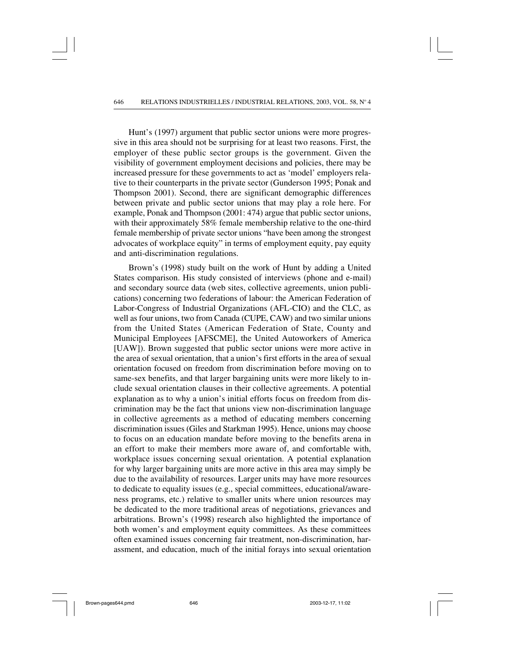Hunt's (1997) argument that public sector unions were more progressive in this area should not be surprising for at least two reasons. First, the employer of these public sector groups is the government. Given the visibility of government employment decisions and policies, there may be increased pressure for these governments to act as 'model' employers relative to their counterparts in the private sector (Gunderson 1995; Ponak and Thompson 2001). Second, there are significant demographic differences between private and public sector unions that may play a role here. For example, Ponak and Thompson (2001: 474) argue that public sector unions, with their approximately 58% female membership relative to the one-third female membership of private sector unions "have been among the strongest advocates of workplace equity" in terms of employment equity, pay equity and anti-discrimination regulations.

Brown's (1998) study built on the work of Hunt by adding a United States comparison. His study consisted of interviews (phone and e-mail) and secondary source data (web sites, collective agreements, union publications) concerning two federations of labour: the American Federation of Labor-Congress of Industrial Organizations (AFL-CIO) and the CLC, as well as four unions, two from Canada (CUPE, CAW) and two similar unions from the United States (American Federation of State, County and Municipal Employees [AFSCME], the United Autoworkers of America [UAW]). Brown suggested that public sector unions were more active in the area of sexual orientation, that a union's first efforts in the area of sexual orientation focused on freedom from discrimination before moving on to same-sex benefits, and that larger bargaining units were more likely to include sexual orientation clauses in their collective agreements. A potential explanation as to why a union's initial efforts focus on freedom from discrimination may be the fact that unions view non-discrimination language in collective agreements as a method of educating members concerning discrimination issues (Giles and Starkman 1995). Hence, unions may choose to focus on an education mandate before moving to the benefits arena in an effort to make their members more aware of, and comfortable with, workplace issues concerning sexual orientation. A potential explanation for why larger bargaining units are more active in this area may simply be due to the availability of resources. Larger units may have more resources to dedicate to equality issues (e.g., special committees, educational/awareness programs, etc.) relative to smaller units where union resources may be dedicated to the more traditional areas of negotiations, grievances and arbitrations. Brown's (1998) research also highlighted the importance of both women's and employment equity committees. As these committees often examined issues concerning fair treatment, non-discrimination, harassment, and education, much of the initial forays into sexual orientation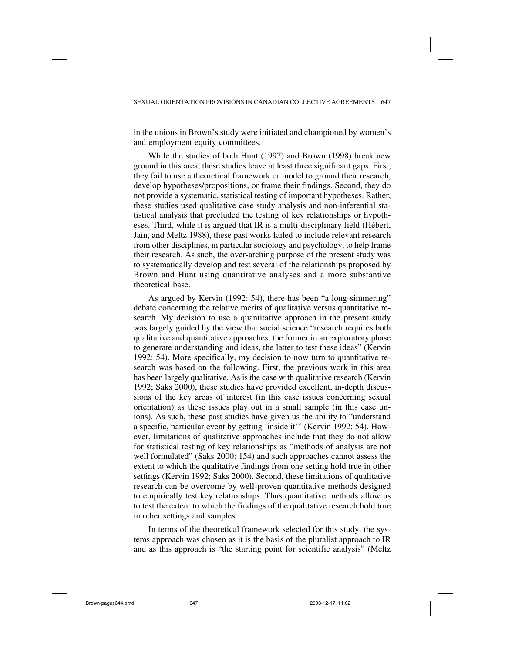in the unions in Brown's study were initiated and championed by women's and employment equity committees.

While the studies of both Hunt (1997) and Brown (1998) break new ground in this area, these studies leave at least three significant gaps. First, they fail to use a theoretical framework or model to ground their research, develop hypotheses/propositions, or frame their findings. Second, they do not provide a systematic, statistical testing of important hypotheses. Rather, these studies used qualitative case study analysis and non-inferential statistical analysis that precluded the testing of key relationships or hypotheses. Third, while it is argued that IR is a multi-disciplinary field (Hébert, Jain, and Meltz 1988), these past works failed to include relevant research from other disciplines, in particular sociology and psychology, to help frame their research. As such, the over-arching purpose of the present study was to systematically develop and test several of the relationships proposed by Brown and Hunt using quantitative analyses and a more substantive theoretical base.

As argued by Kervin (1992: 54), there has been "a long-simmering" debate concerning the relative merits of qualitative versus quantitative research. My decision to use a quantitative approach in the present study was largely guided by the view that social science "research requires both qualitative and quantitative approaches: the former in an exploratory phase to generate understanding and ideas, the latter to test these ideas" (Kervin 1992: 54). More specifically, my decision to now turn to quantitative research was based on the following. First, the previous work in this area has been largely qualitative. As is the case with qualitative research (Kervin 1992; Saks 2000), these studies have provided excellent, in-depth discussions of the key areas of interest (in this case issues concerning sexual orientation) as these issues play out in a small sample (in this case unions). As such, these past studies have given us the ability to "understand a specific, particular event by getting 'inside it'" (Kervin 1992: 54). However, limitations of qualitative approaches include that they do not allow for statistical testing of key relationships as "methods of analysis are not well formulated" (Saks 2000: 154) and such approaches cannot assess the extent to which the qualitative findings from one setting hold true in other settings (Kervin 1992; Saks 2000). Second, these limitations of qualitative research can be overcome by well-proven quantitative methods designed to empirically test key relationships. Thus quantitative methods allow us to test the extent to which the findings of the qualitative research hold true in other settings and samples.

In terms of the theoretical framework selected for this study, the systems approach was chosen as it is the basis of the pluralist approach to IR and as this approach is "the starting point for scientific analysis" (Meltz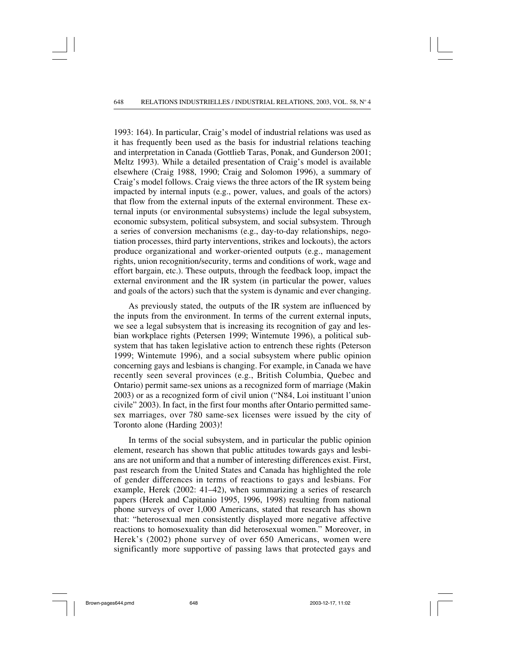1993: 164). In particular, Craig's model of industrial relations was used as it has frequently been used as the basis for industrial relations teaching and interpretation in Canada (Gottlieb Taras, Ponak, and Gunderson 2001; Meltz 1993). While a detailed presentation of Craig's model is available elsewhere (Craig 1988, 1990; Craig and Solomon 1996), a summary of Craig's model follows. Craig views the three actors of the IR system being impacted by internal inputs (e.g., power, values, and goals of the actors) that flow from the external inputs of the external environment. These external inputs (or environmental subsystems) include the legal subsystem, economic subsystem, political subsystem, and social subsystem. Through a series of conversion mechanisms (e.g., day-to-day relationships, negotiation processes, third party interventions, strikes and lockouts), the actors produce organizational and worker-oriented outputs (e.g., management rights, union recognition/security, terms and conditions of work, wage and effort bargain, etc.). These outputs, through the feedback loop, impact the external environment and the IR system (in particular the power, values and goals of the actors) such that the system is dynamic and ever changing.

As previously stated, the outputs of the IR system are influenced by the inputs from the environment. In terms of the current external inputs, we see a legal subsystem that is increasing its recognition of gay and lesbian workplace rights (Petersen 1999; Wintemute 1996), a political subsystem that has taken legislative action to entrench these rights (Peterson 1999; Wintemute 1996), and a social subsystem where public opinion concerning gays and lesbians is changing. For example, in Canada we have recently seen several provinces (e.g., British Columbia, Quebec and Ontario) permit same-sex unions as a recognized form of marriage (Makin 2003) or as a recognized form of civil union ("N84, Loi instituant l'union civile" 2003). In fact, in the first four months after Ontario permitted samesex marriages, over 780 same-sex licenses were issued by the city of Toronto alone (Harding 2003)!

In terms of the social subsystem, and in particular the public opinion element, research has shown that public attitudes towards gays and lesbians are not uniform and that a number of interesting differences exist. First, past research from the United States and Canada has highlighted the role of gender differences in terms of reactions to gays and lesbians. For example, Herek (2002: 41–42), when summarizing a series of research papers (Herek and Capitanio 1995, 1996, 1998) resulting from national phone surveys of over 1,000 Americans, stated that research has shown that: "heterosexual men consistently displayed more negative affective reactions to homosexuality than did heterosexual women." Moreover, in Herek's (2002) phone survey of over 650 Americans, women were significantly more supportive of passing laws that protected gays and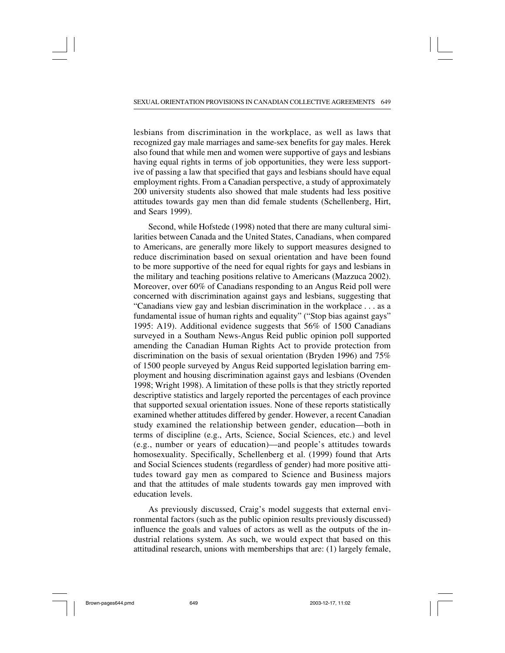lesbians from discrimination in the workplace, as well as laws that recognized gay male marriages and same-sex benefits for gay males. Herek also found that while men and women were supportive of gays and lesbians having equal rights in terms of job opportunities, they were less supportive of passing a law that specified that gays and lesbians should have equal employment rights. From a Canadian perspective, a study of approximately 200 university students also showed that male students had less positive attitudes towards gay men than did female students (Schellenberg, Hirt, and Sears 1999).

Second, while Hofstede (1998) noted that there are many cultural similarities between Canada and the United States, Canadians, when compared to Americans, are generally more likely to support measures designed to reduce discrimination based on sexual orientation and have been found to be more supportive of the need for equal rights for gays and lesbians in the military and teaching positions relative to Americans (Mazzuca 2002). Moreover, over 60% of Canadians responding to an Angus Reid poll were concerned with discrimination against gays and lesbians, suggesting that "Canadians view gay and lesbian discrimination in the workplace . . . as a fundamental issue of human rights and equality" ("Stop bias against gays" 1995: A19). Additional evidence suggests that 56% of 1500 Canadians surveyed in a Southam News-Angus Reid public opinion poll supported amending the Canadian Human Rights Act to provide protection from discrimination on the basis of sexual orientation (Bryden 1996) and 75% of 1500 people surveyed by Angus Reid supported legislation barring employment and housing discrimination against gays and lesbians (Ovenden 1998; Wright 1998). A limitation of these polls is that they strictly reported descriptive statistics and largely reported the percentages of each province that supported sexual orientation issues. None of these reports statistically examined whether attitudes differed by gender. However, a recent Canadian study examined the relationship between gender, education—both in terms of discipline (e.g., Arts, Science, Social Sciences, etc.) and level (e.g., number or years of education)—and people's attitudes towards homosexuality. Specifically, Schellenberg et al. (1999) found that Arts and Social Sciences students (regardless of gender) had more positive attitudes toward gay men as compared to Science and Business majors and that the attitudes of male students towards gay men improved with education levels.

As previously discussed, Craig's model suggests that external environmental factors (such as the public opinion results previously discussed) influence the goals and values of actors as well as the outputs of the industrial relations system. As such, we would expect that based on this attitudinal research, unions with memberships that are: (1) largely female,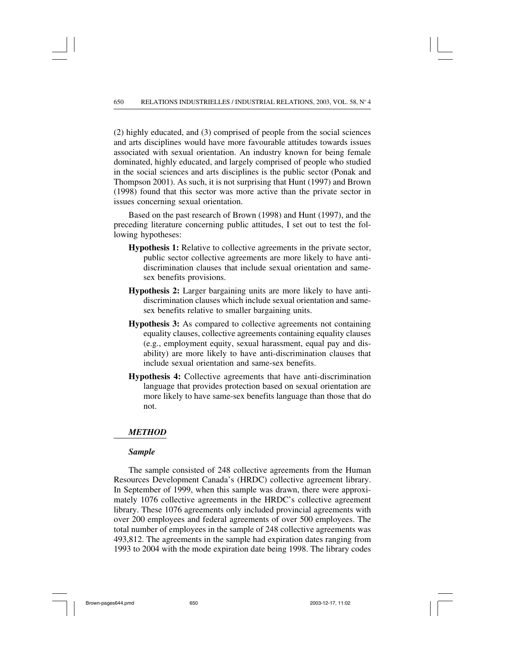(2) highly educated, and (3) comprised of people from the social sciences and arts disciplines would have more favourable attitudes towards issues associated with sexual orientation. An industry known for being female dominated, highly educated, and largely comprised of people who studied in the social sciences and arts disciplines is the public sector (Ponak and Thompson 2001). As such, it is not surprising that Hunt (1997) and Brown (1998) found that this sector was more active than the private sector in issues concerning sexual orientation.

Based on the past research of Brown (1998) and Hunt (1997), and the preceding literature concerning public attitudes, I set out to test the following hypotheses:

- **Hypothesis 1:** Relative to collective agreements in the private sector, public sector collective agreements are more likely to have antidiscrimination clauses that include sexual orientation and samesex benefits provisions.
- **Hypothesis 2:** Larger bargaining units are more likely to have antidiscrimination clauses which include sexual orientation and samesex benefits relative to smaller bargaining units.
- **Hypothesis 3:** As compared to collective agreements not containing equality clauses, collective agreements containing equality clauses (e.g., employment equity, sexual harassment, equal pay and disability) are more likely to have anti-discrimination clauses that include sexual orientation and same-sex benefits.
- **Hypothesis 4:** Collective agreements that have anti-discrimination language that provides protection based on sexual orientation are more likely to have same-sex benefits language than those that do not.

#### *METHOD*

#### *Sample*

The sample consisted of 248 collective agreements from the Human Resources Development Canada's (HRDC) collective agreement library. In September of 1999, when this sample was drawn, there were approximately 1076 collective agreements in the HRDC's collective agreement library. These 1076 agreements only included provincial agreements with over 200 employees and federal agreements of over 500 employees. The total number of employees in the sample of 248 collective agreements was 493,812. The agreements in the sample had expiration dates ranging from 1993 to 2004 with the mode expiration date being 1998. The library codes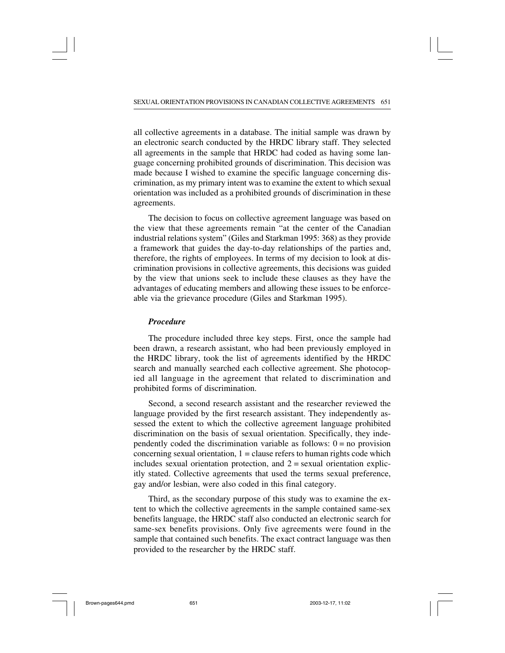all collective agreements in a database. The initial sample was drawn by an electronic search conducted by the HRDC library staff. They selected all agreements in the sample that HRDC had coded as having some language concerning prohibited grounds of discrimination. This decision was made because I wished to examine the specific language concerning discrimination, as my primary intent was to examine the extent to which sexual orientation was included as a prohibited grounds of discrimination in these agreements.

The decision to focus on collective agreement language was based on the view that these agreements remain "at the center of the Canadian industrial relations system" (Giles and Starkman 1995: 368) as they provide a framework that guides the day-to-day relationships of the parties and, therefore, the rights of employees. In terms of my decision to look at discrimination provisions in collective agreements, this decisions was guided by the view that unions seek to include these clauses as they have the advantages of educating members and allowing these issues to be enforceable via the grievance procedure (Giles and Starkman 1995).

#### *Procedure*

The procedure included three key steps. First, once the sample had been drawn, a research assistant, who had been previously employed in the HRDC library, took the list of agreements identified by the HRDC search and manually searched each collective agreement. She photocopied all language in the agreement that related to discrimination and prohibited forms of discrimination.

Second, a second research assistant and the researcher reviewed the language provided by the first research assistant. They independently assessed the extent to which the collective agreement language prohibited discrimination on the basis of sexual orientation. Specifically, they independently coded the discrimination variable as follows:  $0 =$  no provision concerning sexual orientation,  $1 =$  clause refers to human rights code which includes sexual orientation protection, and  $2$  = sexual orientation explicitly stated. Collective agreements that used the terms sexual preference, gay and/or lesbian, were also coded in this final category.

Third, as the secondary purpose of this study was to examine the extent to which the collective agreements in the sample contained same-sex benefits language, the HRDC staff also conducted an electronic search for same-sex benefits provisions. Only five agreements were found in the sample that contained such benefits. The exact contract language was then provided to the researcher by the HRDC staff.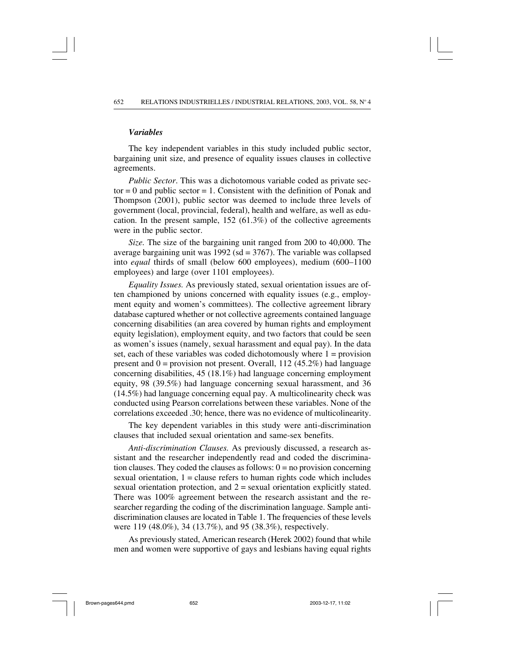#### *Variables*

The key independent variables in this study included public sector, bargaining unit size, and presence of equality issues clauses in collective agreements.

*Public Sector*. This was a dichotomous variable coded as private sec $tor = 0$  and public sector  $= 1$ . Consistent with the definition of Ponak and Thompson (2001), public sector was deemed to include three levels of government (local, provincial, federal), health and welfare, as well as education. In the present sample, 152 (61.3%) of the collective agreements were in the public sector.

*Size.* The size of the bargaining unit ranged from 200 to 40,000. The average bargaining unit was  $1992$  (sd = 3767). The variable was collapsed into *equal* thirds of small (below 600 employees), medium (600–1100 employees) and large (over 1101 employees).

*Equality Issues.* As previously stated, sexual orientation issues are often championed by unions concerned with equality issues (e.g., employment equity and women's committees). The collective agreement library database captured whether or not collective agreements contained language concerning disabilities (an area covered by human rights and employment equity legislation), employment equity, and two factors that could be seen as women's issues (namely, sexual harassment and equal pay). In the data set, each of these variables was coded dichotomously where  $1 =$  provision present and  $0 =$  provision not present. Overall, 112 (45.2%) had language concerning disabilities, 45 (18.1%) had language concerning employment equity, 98 (39.5%) had language concerning sexual harassment, and 36 (14.5%) had language concerning equal pay. A multicolinearity check was conducted using Pearson correlations between these variables. None of the correlations exceeded .30; hence, there was no evidence of multicolinearity.

The key dependent variables in this study were anti-discrimination clauses that included sexual orientation and same-sex benefits.

*Anti-discrimination Clauses.* As previously discussed, a research assistant and the researcher independently read and coded the discrimination clauses. They coded the clauses as follows:  $0 =$  no provision concerning sexual orientation,  $1 =$  clause refers to human rights code which includes sexual orientation protection, and 2 = sexual orientation explicitly stated. There was 100% agreement between the research assistant and the researcher regarding the coding of the discrimination language. Sample antidiscrimination clauses are located in Table 1. The frequencies of these levels were 119 (48.0%), 34 (13.7%), and 95 (38.3%), respectively.

As previously stated, American research (Herek 2002) found that while men and women were supportive of gays and lesbians having equal rights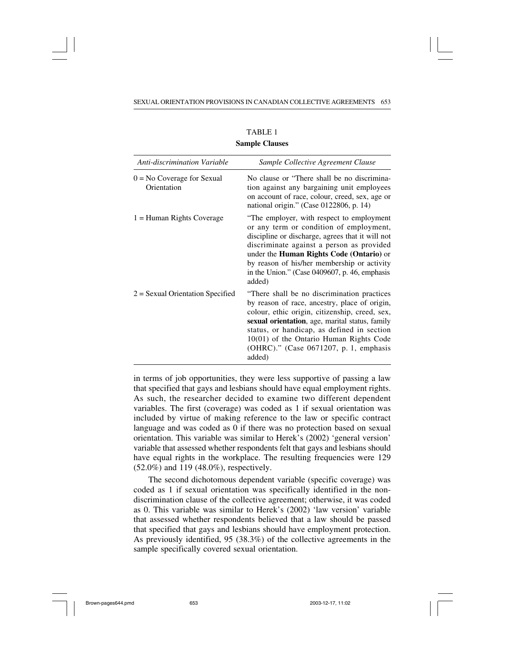| Anti-discrimination Variable                | Sample Collective Agreement Clause                                                                                                                                                                                                                                                                                                              |
|---------------------------------------------|-------------------------------------------------------------------------------------------------------------------------------------------------------------------------------------------------------------------------------------------------------------------------------------------------------------------------------------------------|
| $0 = No$ Coverage for Sexual<br>Orientation | No clause or "There shall be no discrimina-<br>tion against any bargaining unit employees<br>on account of race, colour, creed, sex, age or<br>national origin." (Case 0122806, p. 14)                                                                                                                                                          |
| $1 =$ Human Rights Coverage                 | "The employer, with respect to employment<br>or any term or condition of employment,<br>discipline or discharge, agrees that it will not<br>discriminate against a person as provided<br>under the Human Rights Code (Ontario) or<br>by reason of his/her membership or activity<br>in the Union." (Case 0409607, p. 46, emphasis<br>added)     |
| $2 =$ Sexual Orientation Specified          | "There shall be no discrimination practices"<br>by reason of race, ancestry, place of origin,<br>colour, ethic origin, citizenship, creed, sex,<br>sexual orientation, age, marital status, family<br>status, or handicap, as defined in section<br>10(01) of the Ontario Human Rights Code<br>(OHRC)." (Case 0671207, p. 1, emphasis<br>added) |

TABLE 1 **Sample Clauses**

in terms of job opportunities, they were less supportive of passing a law that specified that gays and lesbians should have equal employment rights. As such, the researcher decided to examine two different dependent variables. The first (coverage) was coded as 1 if sexual orientation was included by virtue of making reference to the law or specific contract language and was coded as 0 if there was no protection based on sexual orientation. This variable was similar to Herek's (2002) 'general version' variable that assessed whether respondents felt that gays and lesbians should have equal rights in the workplace. The resulting frequencies were 129 (52.0%) and 119 (48.0%), respectively.

The second dichotomous dependent variable (specific coverage) was coded as 1 if sexual orientation was specifically identified in the nondiscrimination clause of the collective agreement; otherwise, it was coded as 0. This variable was similar to Herek's (2002) 'law version' variable that assessed whether respondents believed that a law should be passed that specified that gays and lesbians should have employment protection. As previously identified, 95 (38.3%) of the collective agreements in the sample specifically covered sexual orientation.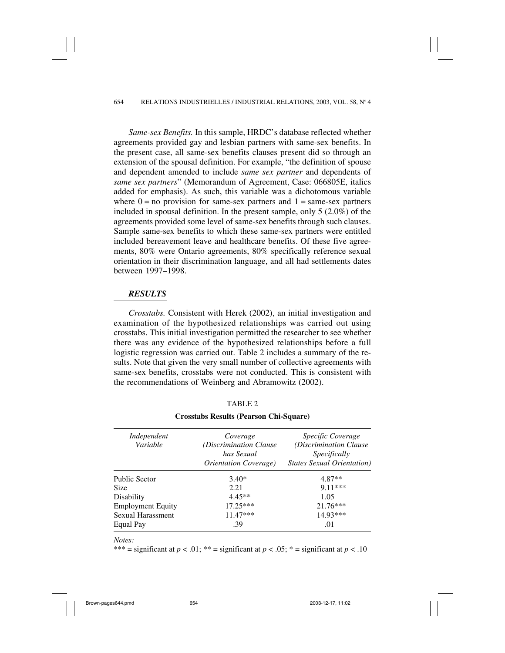*Same-sex Benefits.* In this sample, HRDC's database reflected whether agreements provided gay and lesbian partners with same-sex benefits. In the present case, all same-sex benefits clauses present did so through an extension of the spousal definition. For example, "the definition of spouse and dependent amended to include *same sex partner* and dependents of *same sex partners*" (Memorandum of Agreement, Case: 066805E, italics added for emphasis). As such, this variable was a dichotomous variable where  $0 =$  no provision for same-sex partners and  $1 =$  same-sex partners included in spousal definition. In the present sample, only 5 (2.0%) of the agreements provided some level of same-sex benefits through such clauses. Sample same-sex benefits to which these same-sex partners were entitled included bereavement leave and healthcare benefits. Of these five agreements, 80% were Ontario agreements, 80% specifically reference sexual orientation in their discrimination language, and all had settlements dates between 1997–1998.

#### *RESULTS*

*Crosstabs.* Consistent with Herek (2002), an initial investigation and examination of the hypothesized relationships was carried out using crosstabs. This initial investigation permitted the researcher to see whether there was any evidence of the hypothesized relationships before a full logistic regression was carried out. Table 2 includes a summary of the results. Note that given the very small number of collective agreements with same-sex benefits, crosstabs were not conducted. This is consistent with the recommendations of Weinberg and Abramowitz (2002).

| Independent              | Coverage                      | <i>Specific Coverage</i>           |  |  |
|--------------------------|-------------------------------|------------------------------------|--|--|
| Variable                 | (Discrimination Clause        | (Discrimination Clause             |  |  |
|                          | has Sexual                    | Specifically                       |  |  |
|                          | <i>Orientation Coverage</i> ) | <b>States Sexual Orientation</b> ) |  |  |
| Public Sector            | $3.40*$                       | $4.87**$                           |  |  |
| <b>Size</b>              | 2.21                          | $911***$                           |  |  |
| Disability               | $4.45**$                      | 1.05                               |  |  |
| <b>Employment Equity</b> | $17.25***$                    | $21.76***$                         |  |  |
| Sexual Harassment        | $11.47***$                    | $14.93***$                         |  |  |
| Equal Pay                | .39                           | .01                                |  |  |

#### TABLE 2

#### **Crosstabs Results (Pearson Chi-Square)**

*Notes:*

\*\*\* = significant at  $p < .01$ ; \*\* = significant at  $p < .05$ ; \* = significant at  $p < .10$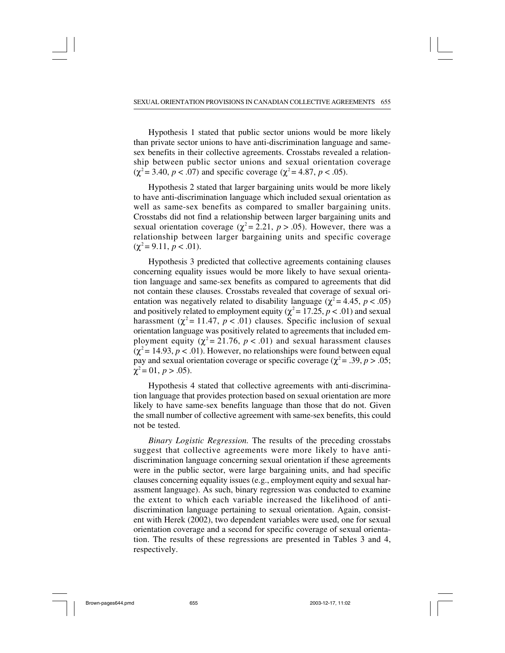Hypothesis 1 stated that public sector unions would be more likely than private sector unions to have anti-discrimination language and samesex benefits in their collective agreements. Crosstabs revealed a relationship between public sector unions and sexual orientation coverage  $(χ<sup>2</sup> = 3.40, p < .07)$  and specific coverage  $(χ<sup>2</sup> = 4.87, p < .05)$ .

Hypothesis 2 stated that larger bargaining units would be more likely to have anti-discrimination language which included sexual orientation as well as same-sex benefits as compared to smaller bargaining units. Crosstabs did not find a relationship between larger bargaining units and sexual orientation coverage ( $\chi^2$  = 2.21, *p* > .05). However, there was a relationship between larger bargaining units and specific coverage  $(\chi^2 = 9.11, p < .01)$ .

Hypothesis 3 predicted that collective agreements containing clauses concerning equality issues would be more likely to have sexual orientation language and same-sex benefits as compared to agreements that did not contain these clauses. Crosstabs revealed that coverage of sexual orientation was negatively related to disability language ( $\chi^2$  = 4.45, *p* < .05) and positively related to employment equity ( $\chi^2$  = 17.25, *p* < .01) and sexual harassment ( $\chi^2$  = 11.47, *p* < .01) clauses. Specific inclusion of sexual orientation language was positively related to agreements that included employment equity ( $\chi^2$  = 21.76,  $p$  < .01) and sexual harassment clauses  $(\chi^2 = 14.93, p < .01)$ . However, no relationships were found between equal pay and sexual orientation coverage or specific coverage ( $\chi^2$  = .39, *p* > .05;  $\chi^2 = 01$ ,  $p > .05$ ).

Hypothesis 4 stated that collective agreements with anti-discrimination language that provides protection based on sexual orientation are more likely to have same-sex benefits language than those that do not. Given the small number of collective agreement with same-sex benefits, this could not be tested.

*Binary Logistic Regression.* The results of the preceding crosstabs suggest that collective agreements were more likely to have antidiscrimination language concerning sexual orientation if these agreements were in the public sector, were large bargaining units, and had specific clauses concerning equality issues (e.g., employment equity and sexual harassment language). As such, binary regression was conducted to examine the extent to which each variable increased the likelihood of antidiscrimination language pertaining to sexual orientation. Again, consistent with Herek (2002), two dependent variables were used, one for sexual orientation coverage and a second for specific coverage of sexual orientation. The results of these regressions are presented in Tables 3 and 4, respectively.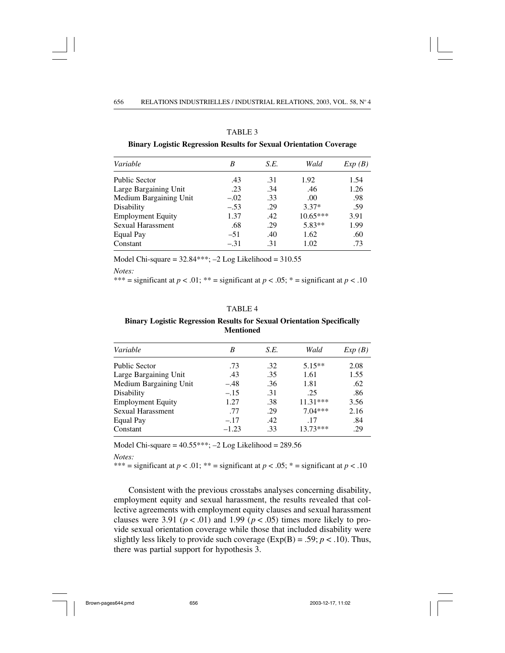| ۸BΙ. |  |
|------|--|
|------|--|

**Binary Logistic Regression Results for Sexual Orientation Coverage**

| Variable                 | B      | S.E. | Wald       | Exp(B) |
|--------------------------|--------|------|------------|--------|
| <b>Public Sector</b>     | .43    | .31  | 1.92       | 1.54   |
| Large Bargaining Unit    | .23    | .34  | .46        | 1.26   |
| Medium Bargaining Unit   | $-.02$ | .33  | .00        | .98    |
| Disability               | $-.53$ | .29  | $3.37*$    | .59    |
| <b>Employment Equity</b> | 1.37   | .42  | $10.65***$ | 3.91   |
| Sexual Harassment        | .68    | .29  | 5.83**     | 1.99   |
| Equal Pay                | $-51$  | .40  | 1.62       | .60    |
| Constant                 | $-.31$ | .31  | 1.02       | .73    |
|                          |        |      |            |        |

Model Chi-square =  $32.84***$ ;  $-2$  Log Likelihood =  $310.55$ 

*Notes:*

\*\*\* = significant at  $p < .01$ ; \*\* = significant at  $p < .05$ ; \* = significant at  $p < .10$ 

#### TABLE 4

**Binary Logistic Regression Results for Sexual Orientation Specifically Mentioned**

| Variable                 | B       | S.E. | Wald       | Exp(B) |
|--------------------------|---------|------|------------|--------|
| <b>Public Sector</b>     | .73     | .32  | $5.15**$   | 2.08   |
| Large Bargaining Unit    | .43     | .35  | 1.61       | 1.55   |
| Medium Bargaining Unit   | $-.48$  | .36  | 1.81       | .62    |
| Disability               | $-.15$  | .31  | .25        | .86    |
| <b>Employment Equity</b> | 1.27    | .38  | $11.31***$ | 3.56   |
| Sexual Harassment        | .77     | .29  | $7.04***$  | 2.16   |
| Equal Pay                | $-.17$  | .42  | .17        | .84    |
| Constant                 | $-1.23$ | .33  | $13.73***$ | .29    |
|                          |         |      |            |        |

Model Chi-square =  $40.55***$ ;  $-2$  Log Likelihood = 289.56

*Notes:*

\*\*\* = significant at  $p < .01$ ; \*\* = significant at  $p < .05$ ; \* = significant at  $p < .10$ 

Consistent with the previous crosstabs analyses concerning disability, employment equity and sexual harassment, the results revealed that collective agreements with employment equity clauses and sexual harassment clauses were 3.91 ( $p < .01$ ) and 1.99 ( $p < .05$ ) times more likely to provide sexual orientation coverage while those that included disability were slightly less likely to provide such coverage  $(Exp(B) = .59; p < .10)$ . Thus, there was partial support for hypothesis 3.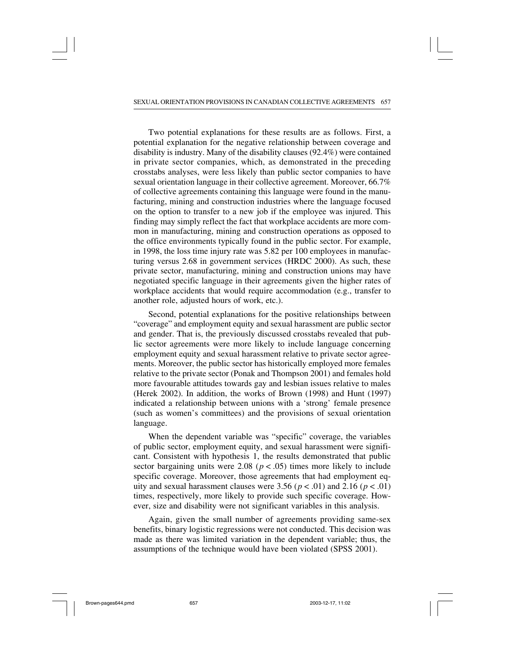Two potential explanations for these results are as follows. First, a potential explanation for the negative relationship between coverage and disability is industry. Many of the disability clauses (92.4%) were contained in private sector companies, which, as demonstrated in the preceding crosstabs analyses, were less likely than public sector companies to have sexual orientation language in their collective agreement. Moreover, 66.7% of collective agreements containing this language were found in the manufacturing, mining and construction industries where the language focused on the option to transfer to a new job if the employee was injured. This finding may simply reflect the fact that workplace accidents are more common in manufacturing, mining and construction operations as opposed to the office environments typically found in the public sector. For example, in 1998, the loss time injury rate was 5.82 per 100 employees in manufacturing versus 2.68 in government services (HRDC 2000). As such, these private sector, manufacturing, mining and construction unions may have negotiated specific language in their agreements given the higher rates of workplace accidents that would require accommodation (e.g., transfer to another role, adjusted hours of work, etc.).

Second, potential explanations for the positive relationships between "coverage" and employment equity and sexual harassment are public sector and gender. That is, the previously discussed crosstabs revealed that public sector agreements were more likely to include language concerning employment equity and sexual harassment relative to private sector agreements. Moreover, the public sector has historically employed more females relative to the private sector (Ponak and Thompson 2001) and females hold more favourable attitudes towards gay and lesbian issues relative to males (Herek 2002). In addition, the works of Brown (1998) and Hunt (1997) indicated a relationship between unions with a 'strong' female presence (such as women's committees) and the provisions of sexual orientation language.

When the dependent variable was "specific" coverage, the variables of public sector, employment equity, and sexual harassment were significant. Consistent with hypothesis 1, the results demonstrated that public sector bargaining units were 2.08 ( $p < .05$ ) times more likely to include specific coverage. Moreover, those agreements that had employment equity and sexual harassment clauses were 3.56 ( $p < .01$ ) and 2.16 ( $p < .01$ ) times, respectively, more likely to provide such specific coverage. However, size and disability were not significant variables in this analysis.

Again, given the small number of agreements providing same-sex benefits, binary logistic regressions were not conducted. This decision was made as there was limited variation in the dependent variable; thus, the assumptions of the technique would have been violated (SPSS 2001).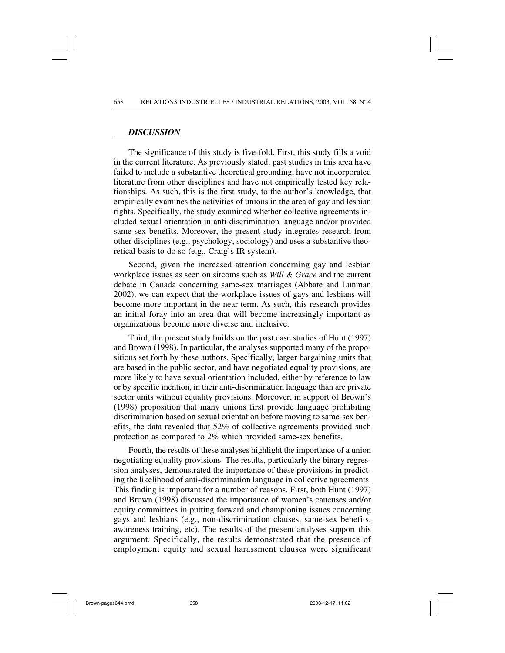#### *DISCUSSION*

The significance of this study is five-fold. First, this study fills a void in the current literature. As previously stated, past studies in this area have failed to include a substantive theoretical grounding, have not incorporated literature from other disciplines and have not empirically tested key relationships. As such, this is the first study, to the author's knowledge, that empirically examines the activities of unions in the area of gay and lesbian rights. Specifically, the study examined whether collective agreements included sexual orientation in anti-discrimination language and/or provided same-sex benefits. Moreover, the present study integrates research from other disciplines (e.g., psychology, sociology) and uses a substantive theoretical basis to do so (e.g., Craig's IR system).

Second, given the increased attention concerning gay and lesbian workplace issues as seen on sitcoms such as *Will & Grace* and the current debate in Canada concerning same-sex marriages (Abbate and Lunman 2002), we can expect that the workplace issues of gays and lesbians will become more important in the near term. As such, this research provides an initial foray into an area that will become increasingly important as organizations become more diverse and inclusive.

Third, the present study builds on the past case studies of Hunt (1997) and Brown (1998). In particular, the analyses supported many of the propositions set forth by these authors. Specifically, larger bargaining units that are based in the public sector, and have negotiated equality provisions, are more likely to have sexual orientation included, either by reference to law or by specific mention, in their anti-discrimination language than are private sector units without equality provisions. Moreover, in support of Brown's (1998) proposition that many unions first provide language prohibiting discrimination based on sexual orientation before moving to same-sex benefits, the data revealed that 52% of collective agreements provided such protection as compared to 2% which provided same-sex benefits.

Fourth, the results of these analyses highlight the importance of a union negotiating equality provisions. The results, particularly the binary regression analyses, demonstrated the importance of these provisions in predicting the likelihood of anti-discrimination language in collective agreements. This finding is important for a number of reasons. First, both Hunt (1997) and Brown (1998) discussed the importance of women's caucuses and/or equity committees in putting forward and championing issues concerning gays and lesbians (e.g., non-discrimination clauses, same-sex benefits, awareness training, etc). The results of the present analyses support this argument. Specifically, the results demonstrated that the presence of employment equity and sexual harassment clauses were significant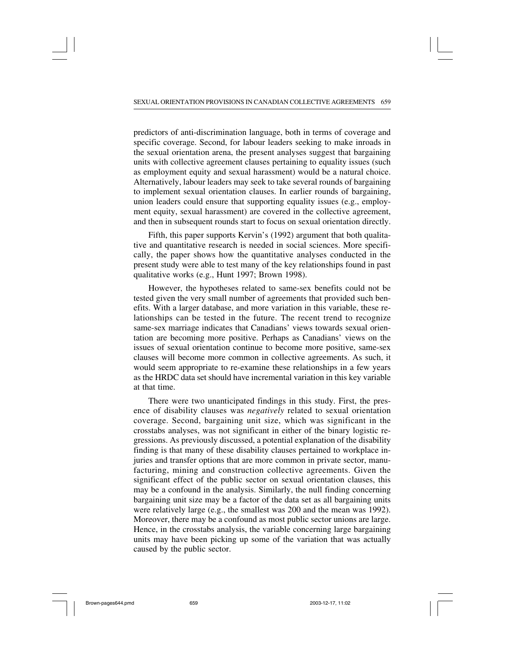predictors of anti-discrimination language, both in terms of coverage and specific coverage. Second, for labour leaders seeking to make inroads in the sexual orientation arena, the present analyses suggest that bargaining units with collective agreement clauses pertaining to equality issues (such as employment equity and sexual harassment) would be a natural choice. Alternatively, labour leaders may seek to take several rounds of bargaining to implement sexual orientation clauses. In earlier rounds of bargaining, union leaders could ensure that supporting equality issues (e.g., employment equity, sexual harassment) are covered in the collective agreement, and then in subsequent rounds start to focus on sexual orientation directly.

Fifth, this paper supports Kervin's (1992) argument that both qualitative and quantitative research is needed in social sciences. More specifically, the paper shows how the quantitative analyses conducted in the present study were able to test many of the key relationships found in past qualitative works (e.g., Hunt 1997; Brown 1998).

However, the hypotheses related to same-sex benefits could not be tested given the very small number of agreements that provided such benefits. With a larger database, and more variation in this variable, these relationships can be tested in the future. The recent trend to recognize same-sex marriage indicates that Canadians' views towards sexual orientation are becoming more positive. Perhaps as Canadians' views on the issues of sexual orientation continue to become more positive, same-sex clauses will become more common in collective agreements. As such, it would seem appropriate to re-examine these relationships in a few years as the HRDC data set should have incremental variation in this key variable at that time.

There were two unanticipated findings in this study. First, the presence of disability clauses was *negatively* related to sexual orientation coverage. Second, bargaining unit size, which was significant in the crosstabs analyses, was not significant in either of the binary logistic regressions. As previously discussed, a potential explanation of the disability finding is that many of these disability clauses pertained to workplace injuries and transfer options that are more common in private sector, manufacturing, mining and construction collective agreements. Given the significant effect of the public sector on sexual orientation clauses, this may be a confound in the analysis. Similarly, the null finding concerning bargaining unit size may be a factor of the data set as all bargaining units were relatively large (e.g., the smallest was 200 and the mean was 1992). Moreover, there may be a confound as most public sector unions are large. Hence, in the crosstabs analysis, the variable concerning large bargaining units may have been picking up some of the variation that was actually caused by the public sector.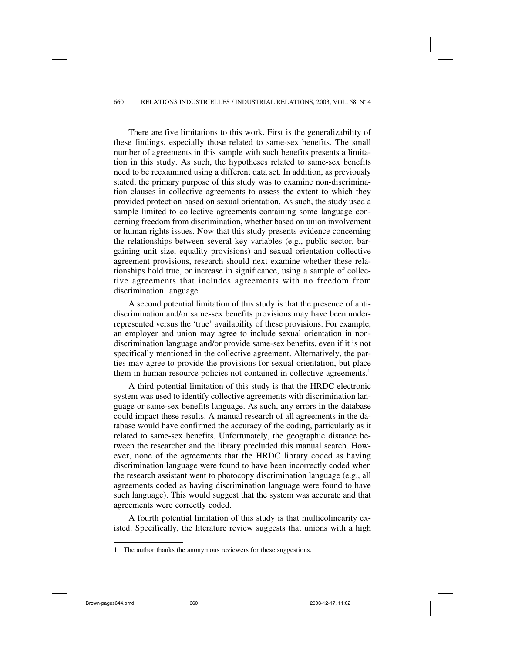There are five limitations to this work. First is the generalizability of these findings, especially those related to same-sex benefits. The small number of agreements in this sample with such benefits presents a limitation in this study. As such, the hypotheses related to same-sex benefits need to be reexamined using a different data set. In addition, as previously stated, the primary purpose of this study was to examine non-discrimination clauses in collective agreements to assess the extent to which they provided protection based on sexual orientation. As such, the study used a sample limited to collective agreements containing some language concerning freedom from discrimination, whether based on union involvement or human rights issues. Now that this study presents evidence concerning the relationships between several key variables (e.g., public sector, bargaining unit size, equality provisions) and sexual orientation collective agreement provisions, research should next examine whether these relationships hold true, or increase in significance, using a sample of collective agreements that includes agreements with no freedom from discrimination language.

A second potential limitation of this study is that the presence of antidiscrimination and/or same-sex benefits provisions may have been underrepresented versus the 'true' availability of these provisions. For example, an employer and union may agree to include sexual orientation in nondiscrimination language and/or provide same-sex benefits, even if it is not specifically mentioned in the collective agreement. Alternatively, the parties may agree to provide the provisions for sexual orientation, but place them in human resource policies not contained in collective agreements.<sup>1</sup>

A third potential limitation of this study is that the HRDC electronic system was used to identify collective agreements with discrimination language or same-sex benefits language. As such, any errors in the database could impact these results. A manual research of all agreements in the database would have confirmed the accuracy of the coding, particularly as it related to same-sex benefits. Unfortunately, the geographic distance between the researcher and the library precluded this manual search. However, none of the agreements that the HRDC library coded as having discrimination language were found to have been incorrectly coded when the research assistant went to photocopy discrimination language (e.g., all agreements coded as having discrimination language were found to have such language). This would suggest that the system was accurate and that agreements were correctly coded.

A fourth potential limitation of this study is that multicolinearity existed. Specifically, the literature review suggests that unions with a high

<sup>1.</sup> The author thanks the anonymous reviewers for these suggestions.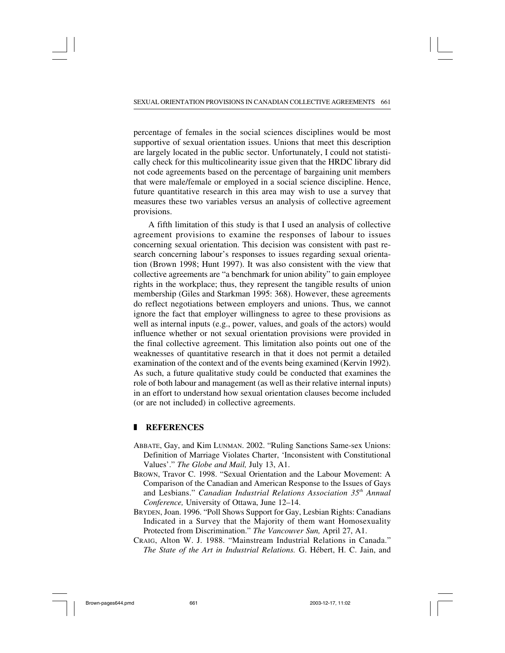percentage of females in the social sciences disciplines would be most supportive of sexual orientation issues. Unions that meet this description are largely located in the public sector. Unfortunately, I could not statistically check for this multicolinearity issue given that the HRDC library did not code agreements based on the percentage of bargaining unit members that were male/female or employed in a social science discipline. Hence, future quantitative research in this area may wish to use a survey that measures these two variables versus an analysis of collective agreement provisions.

A fifth limitation of this study is that I used an analysis of collective agreement provisions to examine the responses of labour to issues concerning sexual orientation. This decision was consistent with past research concerning labour's responses to issues regarding sexual orientation (Brown 1998; Hunt 1997). It was also consistent with the view that collective agreements are "a benchmark for union ability" to gain employee rights in the workplace; thus, they represent the tangible results of union membership (Giles and Starkman 1995: 368). However, these agreements do reflect negotiations between employers and unions. Thus, we cannot ignore the fact that employer willingness to agree to these provisions as well as internal inputs (e.g., power, values, and goals of the actors) would influence whether or not sexual orientation provisions were provided in the final collective agreement. This limitation also points out one of the weaknesses of quantitative research in that it does not permit a detailed examination of the context and of the events being examined (Kervin 1992). As such, a future qualitative study could be conducted that examines the role of both labour and management (as well as their relative internal inputs) in an effort to understand how sexual orientation clauses become included (or are not included) in collective agreements.

### ❚ **REFERENCES**

- ABBATE, Gay, and Kim LUNMAN. 2002. "Ruling Sanctions Same-sex Unions: Definition of Marriage Violates Charter, 'Inconsistent with Constitutional Values'." *The Globe and Mail,* July 13, A1.
- BROWN, Travor C. 1998. "Sexual Orientation and the Labour Movement: A Comparison of the Canadian and American Response to the Issues of Gays and Lesbians." *Canadian Industrial Relations Association 35th Annual Conference,* University of Ottawa, June 12–14.
- BRYDEN, Joan. 1996. "Poll Shows Support for Gay, Lesbian Rights: Canadians Indicated in a Survey that the Majority of them want Homosexuality Protected from Discrimination." *The Vancouver Sun,* April 27, A1.
- CRAIG, Alton W. J. 1988. "Mainstream Industrial Relations in Canada." *The State of the Art in Industrial Relations.* G. Hébert, H. C. Jain, and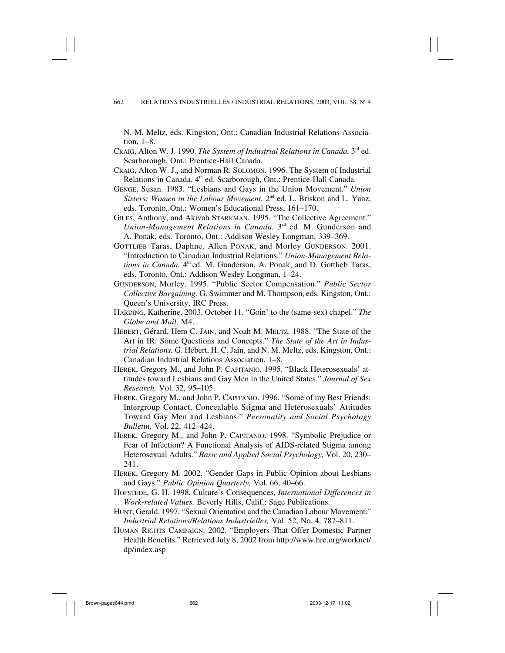N. M. Meltz, eds. Kingston, Ont.: Canadian Industrial Relations Association, 1–8.

- CRAIG, Alton W. J. 1990. *The System of Industrial Relations in Canada.* 3rd ed. Scarborough, Ont.: Prentice-Hall Canada.
- CRAIG, Alton W. J., and Norman R. SOLOMON. 1996. The System of Industrial Relations in Canada. 4<sup>th</sup> ed. Scarborough, Ont.: Prentice-Hall Canada.
- GENGE, Susan. 1983. "Lesbians and Gays in the Union Movement." *Union Sisters: Women in the Labour Movement.* 2nd ed. L. Briskon and L. Yanz, eds. Toronto, Ont.: Women's Educational Press, 161–170.
- GILES, Anthony, and Akivah STARKMAN. 1995. "The Collective Agreement." *Union-Management Relations in Canada.* 3<sup>rd</sup> ed. M. Gunderson and A. Ponak, eds. Toronto, Ont.: Addison Wesley Longman, 339–369.
- GOTTLIEB Taras, Daphne, Allen PONAK, and Morley GUNDERSON. 2001. "Introduction to Canadian Industrial Relations." *Union-Management Rela*tions in Canada. 4<sup>th</sup> ed. M. Gunderson, A. Ponak, and D. Gottlieb Taras, eds. Toronto, Ont.: Addison Wesley Longman, 1–24.
- GUNDERSON, Morley. 1995. "Public Sector Compensation." *Public Sector Collective Bargaining.* G. Swimmer and M. Thompson, eds. Kingston, Ont.: Queen's University, IRC Press.
- HARDING, Katherine. 2003, October 11. "Goin' to the (same-sex) chapel." *The Globe and Mail,* M4.
- HÉBERT, Gérard, Hem C. JAIN, and Noah M. MELTZ. 1988. "The State of the Art in IR: Some Questions and Concepts." *The State of the Art in Industrial Relations.* G. Hébert, H. C. Jain, and N. M. Meltz, eds. Kingston, Ont.: Canadian Industrial Relations Association, 1–8.
- HEREK, Gregory M., and John P. CAPITANIO. 1995. "Black Heterosexuals' attitudes toward Lesbians and Gay Men in the United States." *Journal of Sex Research,* Vol. 32, 95–105.
- HEREK, Gregory M., and John P. CAPITANIO. 1996. "Some of my Best Friends: Intergroup Contact, Concealable Stigma and Heterosexuals' Attitudes Toward Gay Men and Lesbians." *Personality and Social Psychology Bulletin,* Vol. 22, 412–424.
- HEREK, Gregory M., and John P. CAPITANIO. 1998. "Symbolic Prejudice or Fear of Infection? A Functional Analysis of AIDS-related Stigma among Heterosexual Adults." *Basic and Applied Social Psychology,* Vol. 20, 230– 241.
- HEREK, Gregory M. 2002. "Gender Gaps in Public Opinion about Lesbians and Gays." *Public Opinion Quarterly,* Vol. 66, 40–66.
- HOFSTEDE, G. H. 1998. Culture's Consequences, *International Differences in Work-related Values.* Beverly Hills, Calif.: Sage Publications.
- HUNT, Gerald. 1997. "Sexual Orientation and the Canadian Labour Movement." *Industrial Relations/Relations Industrielles,* Vol. 52, No. 4, 787–811.
- HUMAN RIGHTS CAMPAIGN. 2002. "Employers That Offer Domestic Partner Health Benefits." Retrieved July 8, 2002 from http://www.hrc.org/worknet/ dp/index.asp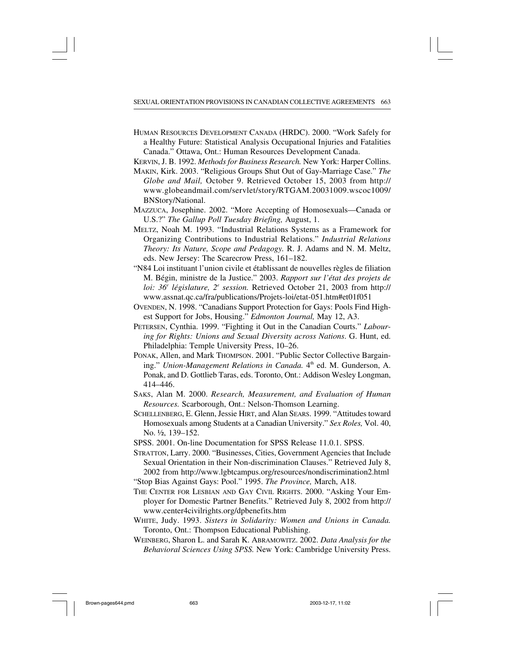- HUMAN RESOURCES DEVELOPMENT CANADA (HRDC). 2000. "Work Safely for a Healthy Future: Statistical Analysis Occupational Injuries and Fatalities Canada." Ottawa, Ont.: Human Resources Development Canada.
- KERVIN, J. B. 1992. *Methods for Business Research.* New York: Harper Collins.
- MAKIN, Kirk. 2003. "Religious Groups Shut Out of Gay-Marriage Case." *The Globe and Mail,* October 9. Retrieved October 15, 2003 from http:// www.globeandmail.com/servlet/story/RTGAM.20031009.wscoc1009/ BNStory/National.
- MAZZUCA, Josephine. 2002. "More Accepting of Homosexuals—Canada or U.S.?" *The Gallup Poll Tuesday Briefing,* August, 1.
- MELTZ, Noah M. 1993. "Industrial Relations Systems as a Framework for Organizing Contributions to Industrial Relations." *Industrial Relations Theory: Its Nature, Scope and Pedagogy.* R. J. Adams and N. M. Meltz, eds. New Jersey: The Scarecrow Press, 161–182.
- "N84 Loi instituant l'union civile et établissant de nouvelles règles de filiation M. Bégin, ministre de la Justice." 2003. *Rapport sur l'état des projets de loi: 36e législature, 2e session.* Retrieved October 21, 2003 from http:// www.assnat.qc.ca/fra/publications/Projets-loi/etat-051.htm#et01f051
- OVENDEN, N. 1998. "Canadians Support Protection for Gays: Pools Find Highest Support for Jobs, Housing." *Edmonton Journal,* May 12, A3.
- PETERSEN, Cynthia. 1999. "Fighting it Out in the Canadian Courts." *Labouring for Rights: Unions and Sexual Diversity across Nations*. G. Hunt, ed. Philadelphia: Temple University Press, 10–26.
- PONAK, Allen, and Mark THOMPSON. 2001. "Public Sector Collective Bargaining." *Union-Management Relations in Canada*. 4<sup>th</sup> ed. M. Gunderson, A. Ponak, and D. Gottlieb Taras, eds. Toronto, Ont.: Addison Wesley Longman, 414–446.
- SAKS, Alan M. 2000. *Research, Measurement, and Evaluation of Human Resources.* Scarborough, Ont.: Nelson-Thomson Learning.
- SCHELLENBERG, E. Glenn, Jessie HIRT, and Alan SEARS. 1999. "Attitudes toward Homosexuals among Students at a Canadian University." *Sex Roles,* Vol. 40, No. ½, 139–152.
- SPSS. 2001. On-line Documentation for SPSS Release 11.0.1. SPSS.
- STRATTON, Larry. 2000. "Businesses, Cities, Government Agencies that Include Sexual Orientation in their Non-discrimination Clauses." Retrieved July 8, 2002 from http://www.lgbtcampus.org/resources/nondiscrimination2.html "Stop Bias Against Gays: Pool." 1995. *The Province,* March, A18.
- THE CENTER FOR LESBIAN AND GAY CIVIL RIGHTS. 2000. "Asking Your Employer for Domestic Partner Benefits." Retrieved July 8, 2002 from http:// www.center4civilrights.org/dpbenefits.htm
- WHITE, Judy. 1993. *Sisters in Solidarity: Women and Unions in Canada.* Toronto, Ont.: Thompson Educational Publishing.
- WEINBERG, Sharon L. and Sarah K. ABRAMOWITZ. 2002. *Data Analysis for the Behavioral Sciences Using SPSS.* New York: Cambridge University Press.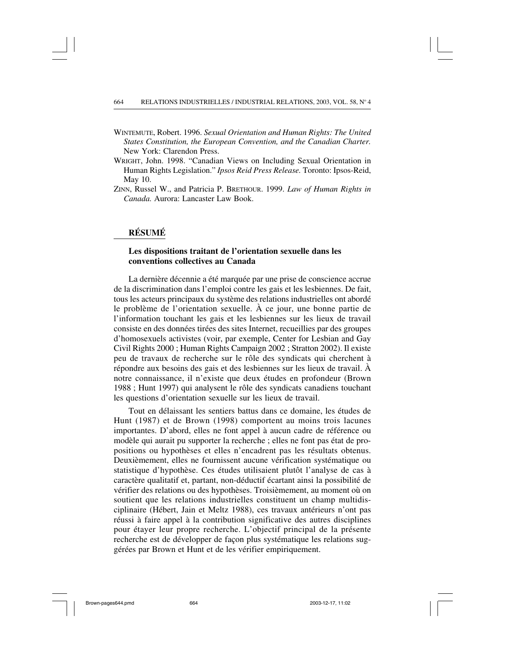- WINTEMUTE, Robert. 1996. *Sexual Orientation and Human Rights: The United States Constitution, the European Convention, and the Canadian Charter.* New York: Clarendon Press.
- WRIGHT, John. 1998. "Canadian Views on Including Sexual Orientation in Human Rights Legislation." *Ipsos Reid Press Release.* Toronto: Ipsos-Reid, May 10.
- ZINN, Russel W., and Patricia P. BRETHOUR. 1999. *Law of Human Rights in Canada.* Aurora: Lancaster Law Book.

## **RÉSUMÉ**

#### **Les dispositions traitant de l'orientation sexuelle dans les conventions collectives au Canada**

La dernière décennie a été marquée par une prise de conscience accrue de la discrimination dans l'emploi contre les gais et les lesbiennes. De fait, tous les acteurs principaux du système des relations industrielles ont abordé le problème de l'orientation sexuelle. À ce jour, une bonne partie de l'information touchant les gais et les lesbiennes sur les lieux de travail consiste en des données tirées des sites Internet, recueillies par des groupes d'homosexuels activistes (voir, par exemple, Center for Lesbian and Gay Civil Rights 2000 ; Human Rights Campaign 2002 ; Stratton 2002). Il existe peu de travaux de recherche sur le rôle des syndicats qui cherchent à répondre aux besoins des gais et des lesbiennes sur les lieux de travail. À notre connaissance, il n'existe que deux études en profondeur (Brown 1988 ; Hunt 1997) qui analysent le rôle des syndicats canadiens touchant les questions d'orientation sexuelle sur les lieux de travail.

Tout en délaissant les sentiers battus dans ce domaine, les études de Hunt (1987) et de Brown (1998) comportent au moins trois lacunes importantes. D'abord, elles ne font appel à aucun cadre de référence ou modèle qui aurait pu supporter la recherche ; elles ne font pas état de propositions ou hypothèses et elles n'encadrent pas les résultats obtenus. Deuxièmement, elles ne fournissent aucune vérification systématique ou statistique d'hypothèse. Ces études utilisaient plutôt l'analyse de cas à caractère qualitatif et, partant, non-déductif écartant ainsi la possibilité de vérifier des relations ou des hypothèses. Troisièmement, au moment où on soutient que les relations industrielles constituent un champ multidisciplinaire (Hébert, Jain et Meltz 1988), ces travaux antérieurs n'ont pas réussi à faire appel à la contribution significative des autres disciplines pour étayer leur propre recherche. L'objectif principal de la présente recherche est de développer de façon plus systématique les relations suggérées par Brown et Hunt et de les vérifier empiriquement.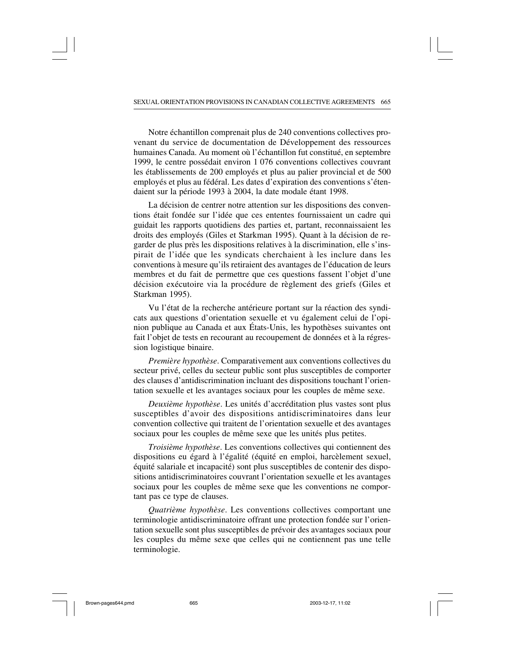Notre échantillon comprenait plus de 240 conventions collectives provenant du service de documentation de Développement des ressources humaines Canada. Au moment où l'échantillon fut constitué, en septembre 1999, le centre possédait environ 1 076 conventions collectives couvrant les établissements de 200 employés et plus au palier provincial et de 500 employés et plus au fédéral. Les dates d'expiration des conventions s'étendaient sur la période 1993 à 2004, la date modale étant 1998.

La décision de centrer notre attention sur les dispositions des conventions était fondée sur l'idée que ces ententes fournissaient un cadre qui guidait les rapports quotidiens des parties et, partant, reconnaissaient les droits des employés (Giles et Starkman 1995). Quant à la décision de regarder de plus près les dispositions relatives à la discrimination, elle s'inspirait de l'idée que les syndicats cherchaient à les inclure dans les conventions à mesure qu'ils retiraient des avantages de l'éducation de leurs membres et du fait de permettre que ces questions fassent l'objet d'une décision exécutoire via la procédure de règlement des griefs (Giles et Starkman 1995).

Vu l'état de la recherche antérieure portant sur la réaction des syndicats aux questions d'orientation sexuelle et vu également celui de l'opinion publique au Canada et aux États-Unis, les hypothèses suivantes ont fait l'objet de tests en recourant au recoupement de données et à la régression logistique binaire.

*Première hypothèse*. Comparativement aux conventions collectives du secteur privé, celles du secteur public sont plus susceptibles de comporter des clauses d'antidiscrimination incluant des dispositions touchant l'orientation sexuelle et les avantages sociaux pour les couples de même sexe.

*Deuxième hypothèse*. Les unités d'accréditation plus vastes sont plus susceptibles d'avoir des dispositions antidiscriminatoires dans leur convention collective qui traitent de l'orientation sexuelle et des avantages sociaux pour les couples de même sexe que les unités plus petites.

*Troisième hypothèse*. Les conventions collectives qui contiennent des dispositions eu égard à l'égalité (équité en emploi, harcèlement sexuel, équité salariale et incapacité) sont plus susceptibles de contenir des dispositions antidiscriminatoires couvrant l'orientation sexuelle et les avantages sociaux pour les couples de même sexe que les conventions ne comportant pas ce type de clauses.

*Quatrième hypothèse*. Les conventions collectives comportant une terminologie antidiscriminatoire offrant une protection fondée sur l'orientation sexuelle sont plus susceptibles de prévoir des avantages sociaux pour les couples du même sexe que celles qui ne contiennent pas une telle terminologie.